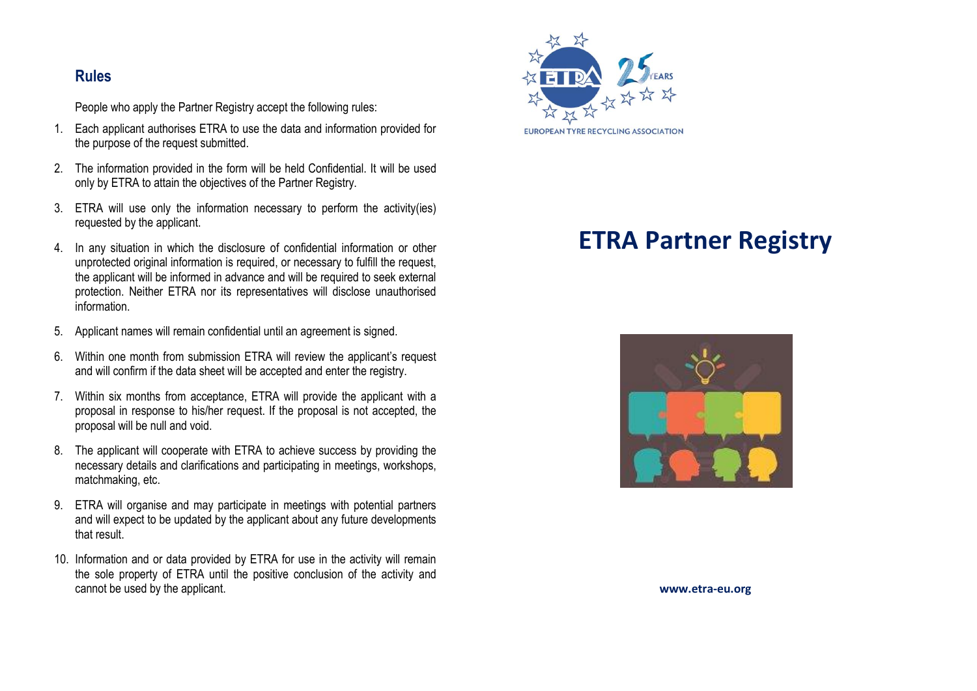## **Rules**

People who apply the Partner Registry accept the following rules:

- 1. Each applicant authorises ETRA to use the data and information provided for the purpose of the request submitted.
- 2. The information provided in the form will be held Confidential. It will be used only by ETRA to attain the objectives of the Partner Registry.
- 3. ETRA will use only the information necessary to perform the activity(ies) requested by the applicant.
- 4. In any situation in which the disclosure of confidential information or other unprotected original information is required, or necessary to fulfill the request, the applicant will be informed in advance and will be required to seek external protection. Neither ETRA nor its representatives will disclose unauthorised information.
- 5. Applicant names will remain confidential until an agreement is signed.
- 6. Within one month from submission ETRA will review the applicant's request and will confirm if the data sheet will be accepted and enter the registry.
- 7. Within six months from acceptance, ETRA will provide the applicant with a proposal in response to his/her request. If the proposal is not accepted, the proposal will be null and void.
- 8. The applicant will cooperate with ETRA to achieve success by providing the necessary details and clarifications and participating in meetings, workshops, matchmaking, etc.
- 9. ETRA will organise and may participate in meetings with potential partners and will expect to be updated by the applicant about any future developments that result.
- 10. Information and or data provided by ETRA for use in the activity will remain the sole property of ETRA until the positive conclusion of the activity and cannot be used by the applicant.



# **ETRA Partner Registry**



**www.etra-eu.org**